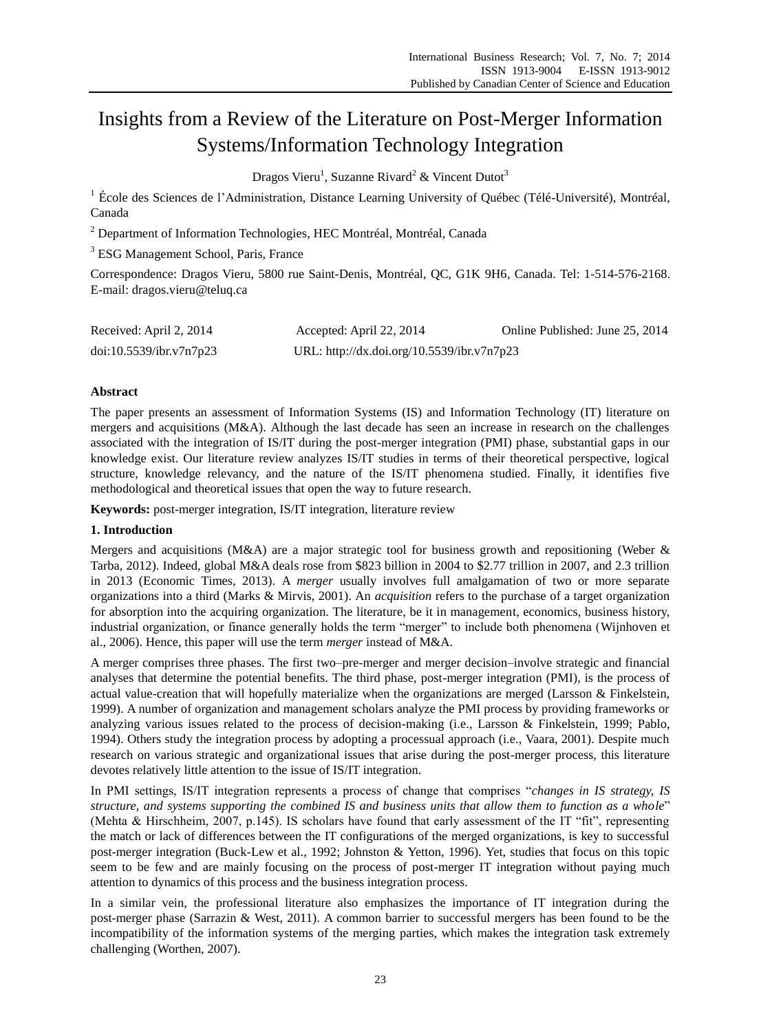# Insights from a Review of the Literature on Post-Merger Information Systems/Information Technology Integration

Dragos Vieru<sup>1</sup>, Suzanne Rivard<sup>2</sup> & Vincent Dutot<sup>3</sup>

<sup>1</sup> École des Sciences de l'Administration, Distance Learning University of Québec (Télé-Université), Montréal, Canada

<sup>2</sup> Department of Information Technologies, HEC Montréal, Montréal, Canada

<sup>3</sup> ESG Management School, Paris, France

Correspondence: Dragos Vieru, 5800 rue Saint-Denis, Montréal, QC, G1K 9H6, Canada. Tel: 1-514-576-2168. E-mail: dragos.vieru@teluq.ca

| Received: April 2, 2014 | Accepted: April 22, 2014                   | Online Published: June 25, 2014 |
|-------------------------|--------------------------------------------|---------------------------------|
| doi:10.5539/ibr.v7n7p23 | URL: http://dx.doi.org/10.5539/ibr.v7n7p23 |                                 |

# **Abstract**

The paper presents an assessment of Information Systems (IS) and Information Technology (IT) literature on mergers and acquisitions (M&A). Although the last decade has seen an increase in research on the challenges associated with the integration of IS/IT during the post-merger integration (PMI) phase, substantial gaps in our knowledge exist. Our literature review analyzes IS/IT studies in terms of their theoretical perspective, logical structure, knowledge relevancy, and the nature of the IS/IT phenomena studied. Finally, it identifies five methodological and theoretical issues that open the way to future research.

**Keywords:** post-merger integration, IS/IT integration, literature review

# **1. Introduction**

Mergers and acquisitions (M&A) are a major strategic tool for business growth and repositioning (Weber  $\&$ Tarba, 2012). Indeed, global M&A deals rose from \$823 billion in 2004 to \$2.77 trillion in 2007, and 2.3 trillion in 2013 (Economic Times, 2013). A *merger* usually involves full amalgamation of two or more separate organizations into a third (Marks & Mirvis, 2001). An *acquisition* refers to the purchase of a target organization for absorption into the acquiring organization. The literature, be it in management, economics, business history, industrial organization, or finance generally holds the term "merger" to include both phenomena (Wijnhoven et al., 2006). Hence, this paper will use the term *merger* instead of M&A.

A merger comprises three phases. The first two–pre-merger and merger decision–involve strategic and financial analyses that determine the potential benefits. The third phase, post-merger integration (PMI), is the process of actual value-creation that will hopefully materialize when the organizations are merged (Larsson & Finkelstein, 1999). A number of organization and management scholars analyze the PMI process by providing frameworks or analyzing various issues related to the process of decision-making (i.e., Larsson & Finkelstein, 1999; Pablo, 1994). Others study the integration process by adopting a processual approach (i.e., Vaara, 2001). Despite much research on various strategic and organizational issues that arise during the post-merger process, this literature devotes relatively little attention to the issue of IS/IT integration.

In PMI settings, IS/IT integration represents a process of change that comprises "*changes in IS strategy, IS structure, and systems supporting the combined IS and business units that allow them to function as a whole*" (Mehta & Hirschheim, 2007, p.145). IS scholars have found that early assessment of the IT "fit", representing the match or lack of differences between the IT configurations of the merged organizations, is key to successful post-merger integration (Buck-Lew et al., 1992; Johnston & Yetton, 1996). Yet, studies that focus on this topic seem to be few and are mainly focusing on the process of post-merger IT integration without paying much attention to dynamics of this process and the business integration process.

In a similar vein, the professional literature also emphasizes the importance of IT integration during the post-merger phase (Sarrazin & West, 2011). A common barrier to successful mergers has been found to be the incompatibility of the information systems of the merging parties, which makes the integration task extremely challenging (Worthen, 2007).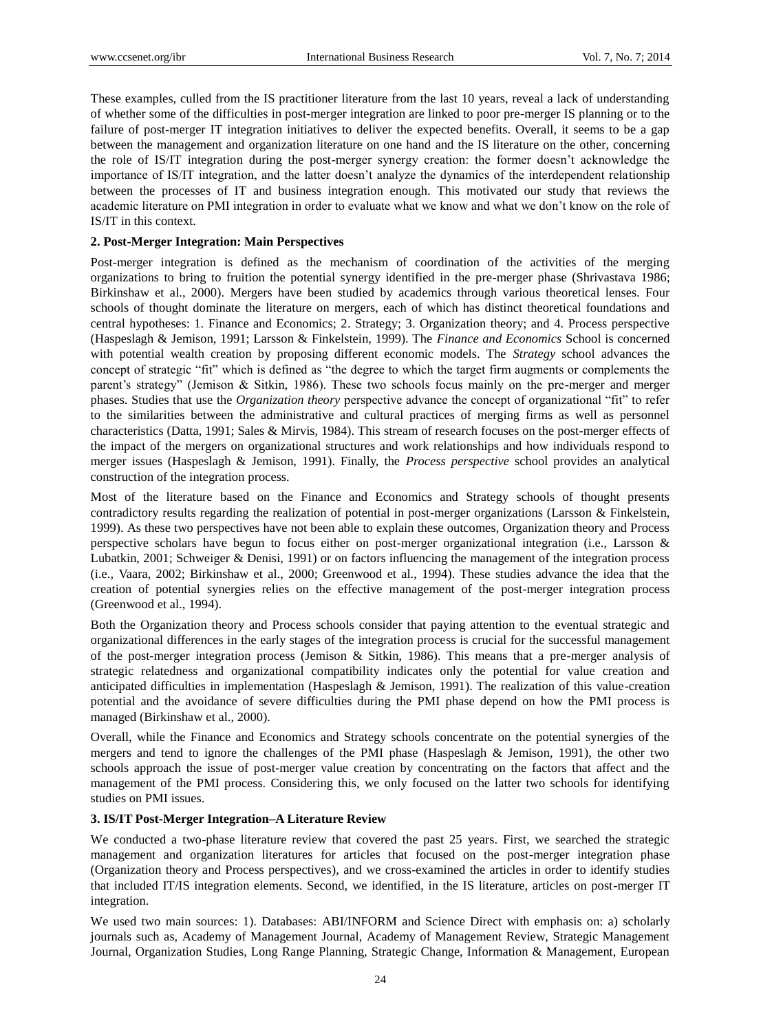These examples, culled from the IS practitioner literature from the last 10 years, reveal a lack of understanding of whether some of the difficulties in post-merger integration are linked to poor pre-merger IS planning or to the failure of post-merger IT integration initiatives to deliver the expected benefits. Overall, it seems to be a gap between the management and organization literature on one hand and the IS literature on the other, concerning the role of IS/IT integration during the post-merger synergy creation: the former doesn't acknowledge the importance of IS/IT integration, and the latter doesn't analyze the dynamics of the interdependent relationship between the processes of IT and business integration enough. This motivated our study that reviews the academic literature on PMI integration in order to evaluate what we know and what we don't know on the role of IS/IT in this context.

# **2. Post-Merger Integration: Main Perspectives**

Post-merger integration is defined as the mechanism of coordination of the activities of the merging organizations to bring to fruition the potential synergy identified in the pre-merger phase (Shrivastava 1986; Birkinshaw et al., 2000). Mergers have been studied by academics through various theoretical lenses. Four schools of thought dominate the literature on mergers, each of which has distinct theoretical foundations and central hypotheses: 1. Finance and Economics; 2. Strategy; 3. Organization theory; and 4. Process perspective (Haspeslagh & Jemison, 1991; Larsson & Finkelstein, 1999). The *Finance and Economics* School is concerned with potential wealth creation by proposing different economic models. The *Strategy* school advances the concept of strategic "fit" which is defined as "the degree to which the target firm augments or complements the parent's strategy" (Jemison & Sitkin, 1986). These two schools focus mainly on the pre-merger and merger phases. Studies that use the *Organization theory* perspective advance the concept of organizational "fit" to refer to the similarities between the administrative and cultural practices of merging firms as well as personnel characteristics (Datta, 1991; Sales & Mirvis, 1984). This stream of research focuses on the post-merger effects of the impact of the mergers on organizational structures and work relationships and how individuals respond to merger issues (Haspeslagh & Jemison, 1991). Finally, the *Process perspective* school provides an analytical construction of the integration process.

Most of the literature based on the Finance and Economics and Strategy schools of thought presents contradictory results regarding the realization of potential in post-merger organizations (Larsson & Finkelstein, 1999). As these two perspectives have not been able to explain these outcomes, Organization theory and Process perspective scholars have begun to focus either on post-merger organizational integration (i.e., Larsson & Lubatkin, 2001; Schweiger & Denisi, 1991) or on factors influencing the management of the integration process (i.e., Vaara, 2002; Birkinshaw et al., 2000; Greenwood et al., 1994). These studies advance the idea that the creation of potential synergies relies on the effective management of the post-merger integration process (Greenwood et al., 1994).

Both the Organization theory and Process schools consider that paying attention to the eventual strategic and organizational differences in the early stages of the integration process is crucial for the successful management of the post-merger integration process (Jemison & Sitkin, 1986). This means that a pre-merger analysis of strategic relatedness and organizational compatibility indicates only the potential for value creation and anticipated difficulties in implementation (Haspeslagh & Jemison, 1991). The realization of this value-creation potential and the avoidance of severe difficulties during the PMI phase depend on how the PMI process is managed (Birkinshaw et al., 2000).

Overall, while the Finance and Economics and Strategy schools concentrate on the potential synergies of the mergers and tend to ignore the challenges of the PMI phase (Haspeslagh & Jemison, 1991), the other two schools approach the issue of post-merger value creation by concentrating on the factors that affect and the management of the PMI process. Considering this, we only focused on the latter two schools for identifying studies on PMI issues.

# **3. IS/IT Post-Merger Integration–A Literature Review**

We conducted a two-phase literature review that covered the past 25 years. First, we searched the strategic management and organization literatures for articles that focused on the post-merger integration phase (Organization theory and Process perspectives), and we cross-examined the articles in order to identify studies that included IT/IS integration elements. Second, we identified, in the IS literature, articles on post-merger IT integration.

We used two main sources: 1). Databases: ABI/INFORM and Science Direct with emphasis on: a) scholarly journals such as, Academy of Management Journal, Academy of Management Review, Strategic Management Journal, Organization Studies, Long Range Planning, Strategic Change, Information & Management, European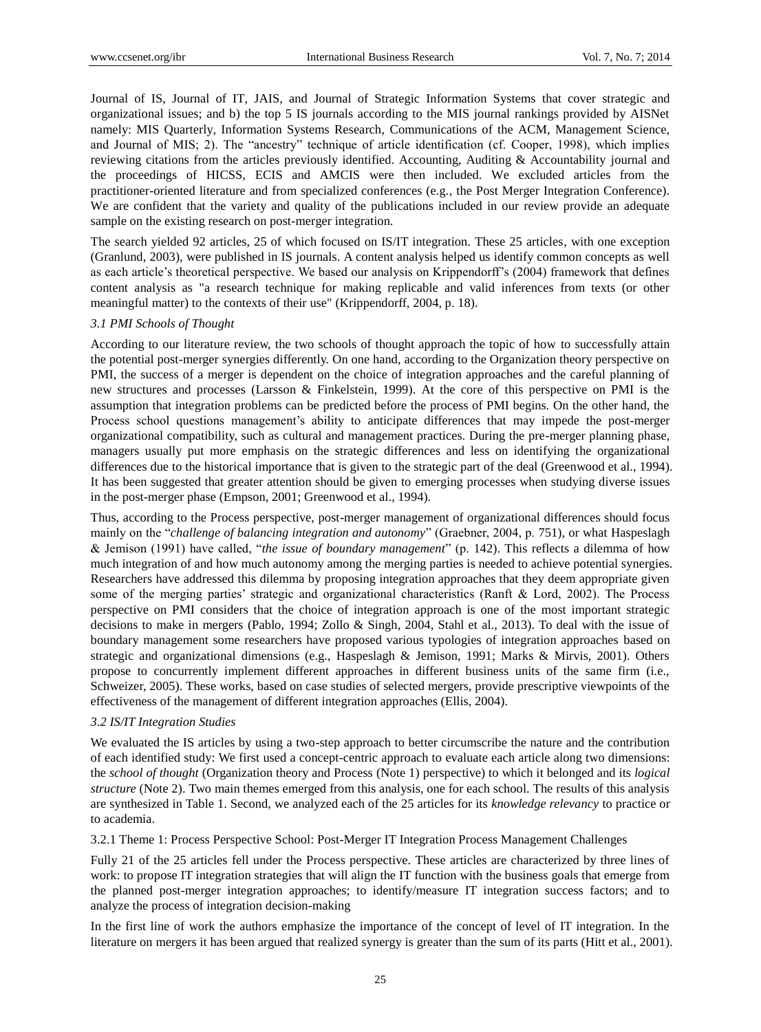Journal of IS, Journal of IT, JAIS, and Journal of Strategic Information Systems that cover strategic and organizational issues; and b) the top 5 IS journals according to the MIS journal rankings provided by AISNet namely: MIS Quarterly, Information Systems Research, Communications of the ACM, Management Science, and Journal of MIS; 2). The "ancestry" technique of article identification (cf. Cooper, 1998), which implies reviewing citations from the articles previously identified. Accounting, Auditing & Accountability journal and the proceedings of HICSS, ECIS and AMCIS were then included. We excluded articles from the practitioner-oriented literature and from specialized conferences (e.g., the Post Merger Integration Conference). We are confident that the variety and quality of the publications included in our review provide an adequate sample on the existing research on post-merger integration.

The search yielded 92 articles, 25 of which focused on IS/IT integration. These 25 articles, with one exception (Granlund, 2003), were published in IS journals. A content analysis helped us identify common concepts as well as each article's theoretical perspective. We based our analysis on Krippendorff's (2004) framework that defines content analysis as "a research technique for making replicable and valid inferences from texts (or other meaningful matter) to the contexts of their use" (Krippendorff, 2004, p. 18).

# *3.1 PMI Schools of Thought*

According to our literature review, the two schools of thought approach the topic of how to successfully attain the potential post-merger synergies differently. On one hand, according to the Organization theory perspective on PMI, the success of a merger is dependent on the choice of integration approaches and the careful planning of new structures and processes (Larsson & Finkelstein, 1999). At the core of this perspective on PMI is the assumption that integration problems can be predicted before the process of PMI begins. On the other hand, the Process school questions management's ability to anticipate differences that may impede the post-merger organizational compatibility, such as cultural and management practices. During the pre-merger planning phase, managers usually put more emphasis on the strategic differences and less on identifying the organizational differences due to the historical importance that is given to the strategic part of the deal (Greenwood et al., 1994). It has been suggested that greater attention should be given to emerging processes when studying diverse issues in the post-merger phase (Empson, 2001; Greenwood et al., 1994).

Thus, according to the Process perspective, post-merger management of organizational differences should focus mainly on the "*challenge of balancing integration and autonomy*" (Graebner, 2004, p. 751), or what Haspeslagh & Jemison (1991) have called, "*the issue of boundary management*" (p. 142). This reflects a dilemma of how much integration of and how much autonomy among the merging parties is needed to achieve potential synergies. Researchers have addressed this dilemma by proposing integration approaches that they deem appropriate given some of the merging parties' strategic and organizational characteristics (Ranft & Lord, 2002). The Process perspective on PMI considers that the choice of integration approach is one of the most important strategic decisions to make in mergers (Pablo, 1994; Zollo & Singh, 2004, Stahl et al., 2013). To deal with the issue of boundary management some researchers have proposed various typologies of integration approaches based on strategic and organizational dimensions (e.g., Haspeslagh & Jemison, 1991; Marks & Mirvis, 2001). Others propose to concurrently implement different approaches in different business units of the same firm (i.e., Schweizer, 2005). These works, based on case studies of selected mergers, provide prescriptive viewpoints of the effectiveness of the management of different integration approaches (Ellis, 2004).

# *3.2 IS/IT Integration Studies*

We evaluated the IS articles by using a two-step approach to better circumscribe the nature and the contribution of each identified study: We first used a concept-centric approach to evaluate each article along two dimensions: the *school of thought* (Organization theory and Process (Note 1) perspective) to which it belonged and its *logical structure* (Note 2). Two main themes emerged from this analysis, one for each school. The results of this analysis are synthesized in Table 1. Second, we analyzed each of the 25 articles for its *knowledge relevancy* to practice or to academia.

# 3.2.1 Theme 1: Process Perspective School: Post-Merger IT Integration Process Management Challenges

Fully 21 of the 25 articles fell under the Process perspective. These articles are characterized by three lines of work: to propose IT integration strategies that will align the IT function with the business goals that emerge from the planned post-merger integration approaches; to identify/measure IT integration success factors; and to analyze the process of integration decision-making

In the first line of work the authors emphasize the importance of the concept of level of IT integration. In the literature on mergers it has been argued that realized synergy is greater than the sum of its parts (Hitt et al., 2001).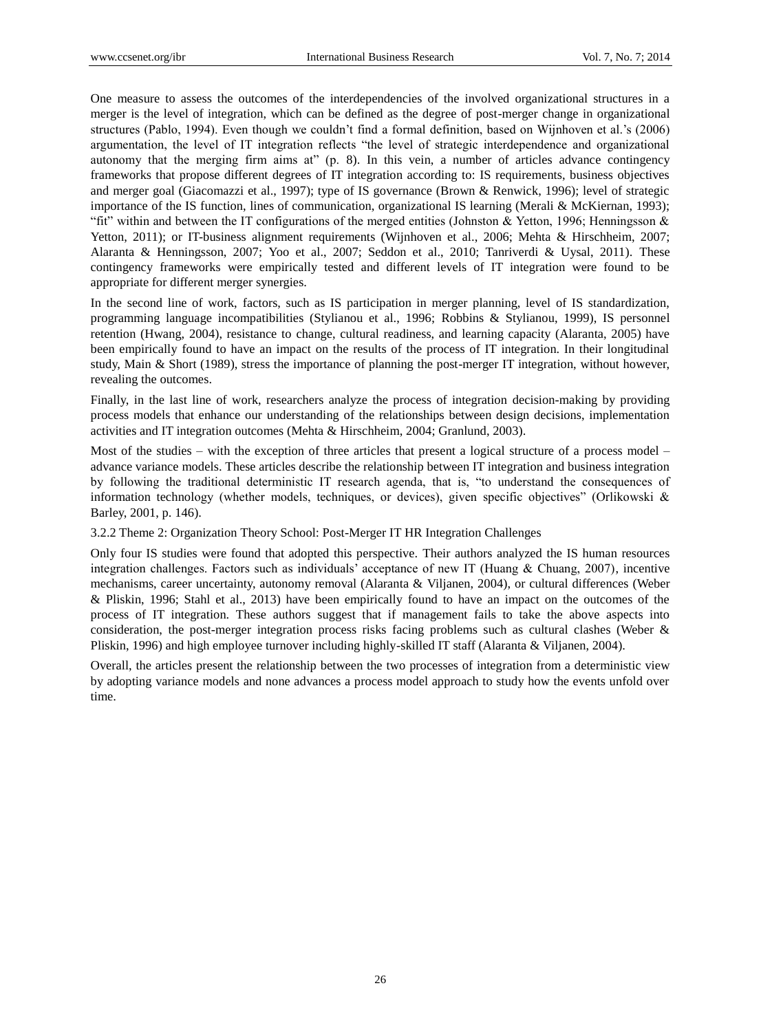One measure to assess the outcomes of the interdependencies of the involved organizational structures in a merger is the level of integration, which can be defined as the degree of post-merger change in organizational structures (Pablo, 1994). Even though we couldn't find a formal definition, based on Wijnhoven et al.'s (2006) argumentation, the level of IT integration reflects "the level of strategic interdependence and organizational autonomy that the merging firm aims at" (p. 8). In this vein, a number of articles advance contingency frameworks that propose different degrees of IT integration according to: IS requirements, business objectives and merger goal (Giacomazzi et al., 1997); type of IS governance (Brown & Renwick, 1996); level of strategic importance of the IS function, lines of communication, organizational IS learning (Merali & McKiernan, 1993); "fit" within and between the IT configurations of the merged entities (Johnston & Yetton, 1996; Henningsson & Yetton, 2011); or IT-business alignment requirements (Wijnhoven et al., 2006; Mehta & Hirschheim, 2007; Alaranta & Henningsson, 2007; Yoo et al., 2007; Seddon et al., 2010; Tanriverdi & Uysal, 2011). These contingency frameworks were empirically tested and different levels of IT integration were found to be appropriate for different merger synergies.

In the second line of work, factors, such as IS participation in merger planning, level of IS standardization, programming language incompatibilities (Stylianou et al., 1996; Robbins & Stylianou, 1999), IS personnel retention (Hwang, 2004), resistance to change, cultural readiness, and learning capacity (Alaranta, 2005) have been empirically found to have an impact on the results of the process of IT integration. In their longitudinal study, Main & Short (1989), stress the importance of planning the post-merger IT integration, without however, revealing the outcomes.

Finally, in the last line of work, researchers analyze the process of integration decision-making by providing process models that enhance our understanding of the relationships between design decisions, implementation activities and IT integration outcomes (Mehta & Hirschheim, 2004; Granlund, 2003).

Most of the studies – with the exception of three articles that present a logical structure of a process model – advance variance models. These articles describe the relationship between IT integration and business integration by following the traditional deterministic IT research agenda, that is, "to understand the consequences of information technology (whether models, techniques, or devices), given specific objectives" (Orlikowski & Barley, 2001, p. 146).

3.2.2 Theme 2: Organization Theory School: Post-Merger IT HR Integration Challenges

Only four IS studies were found that adopted this perspective. Their authors analyzed the IS human resources integration challenges. Factors such as individuals' acceptance of new IT (Huang & Chuang, 2007), incentive mechanisms, career uncertainty, autonomy removal (Alaranta & Viljanen, 2004), or cultural differences (Weber & Pliskin, 1996; Stahl et al., 2013) have been empirically found to have an impact on the outcomes of the process of IT integration. These authors suggest that if management fails to take the above aspects into consideration, the post-merger integration process risks facing problems such as cultural clashes (Weber & Pliskin, 1996) and high employee turnover including highly-skilled IT staff (Alaranta & Viljanen, 2004).

Overall, the articles present the relationship between the two processes of integration from a deterministic view by adopting variance models and none advances a process model approach to study how the events unfold over time.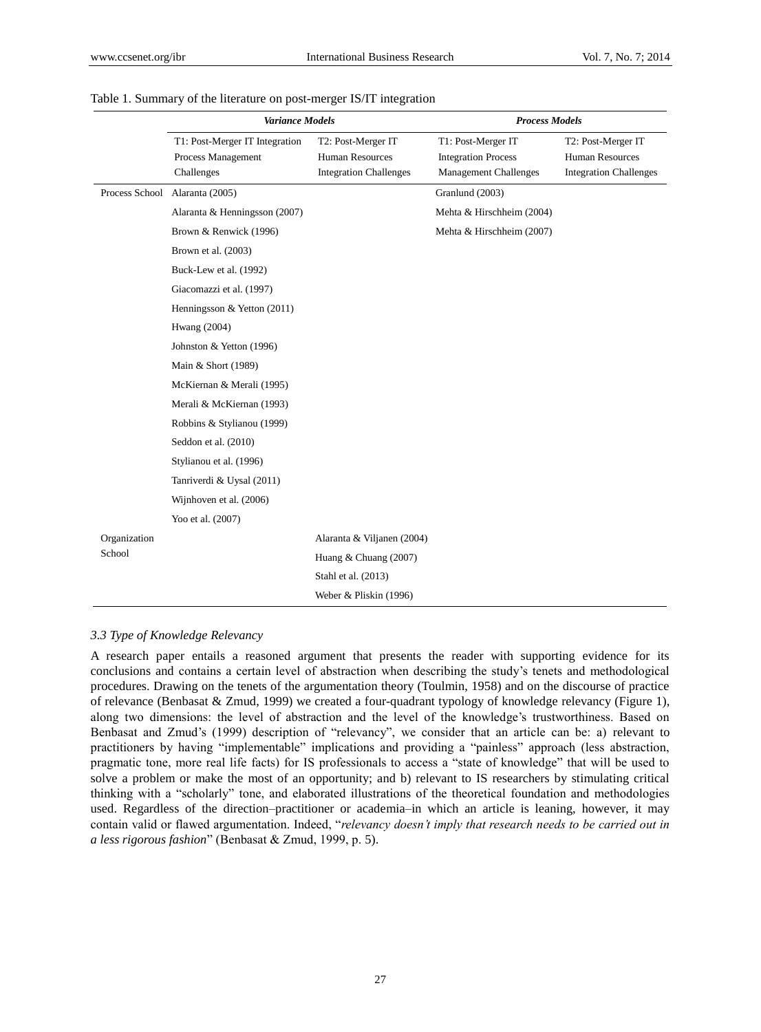|              | Variance Models                                                    |                                                                               | <b>Process Models</b>                                                     |                                                                               |  |  |
|--------------|--------------------------------------------------------------------|-------------------------------------------------------------------------------|---------------------------------------------------------------------------|-------------------------------------------------------------------------------|--|--|
|              | T1: Post-Merger IT Integration<br>Process Management<br>Challenges | T2: Post-Merger IT<br><b>Human Resources</b><br><b>Integration Challenges</b> | T1: Post-Merger IT<br><b>Integration Process</b><br>Management Challenges | T2: Post-Merger IT<br><b>Human Resources</b><br><b>Integration Challenges</b> |  |  |
|              | Process School Alaranta (2005)                                     |                                                                               | Granlund (2003)                                                           |                                                                               |  |  |
|              | Alaranta & Henningsson (2007)                                      |                                                                               | Mehta & Hirschheim (2004)                                                 |                                                                               |  |  |
|              | Brown & Renwick (1996)                                             |                                                                               | Mehta & Hirschheim (2007)                                                 |                                                                               |  |  |
|              | Brown et al. (2003)                                                |                                                                               |                                                                           |                                                                               |  |  |
|              | Buck-Lew et al. (1992)                                             |                                                                               |                                                                           |                                                                               |  |  |
|              | Giacomazzi et al. (1997)                                           |                                                                               |                                                                           |                                                                               |  |  |
|              | Henningsson & Yetton (2011)                                        |                                                                               |                                                                           |                                                                               |  |  |
|              | Hwang (2004)                                                       |                                                                               |                                                                           |                                                                               |  |  |
|              | Johnston & Yetton (1996)                                           |                                                                               |                                                                           |                                                                               |  |  |
|              | Main & Short (1989)                                                |                                                                               |                                                                           |                                                                               |  |  |
|              | McKiernan & Merali (1995)                                          |                                                                               |                                                                           |                                                                               |  |  |
|              | Merali & McKiernan (1993)                                          |                                                                               |                                                                           |                                                                               |  |  |
|              | Robbins & Stylianou (1999)                                         |                                                                               |                                                                           |                                                                               |  |  |
|              | Seddon et al. (2010)                                               |                                                                               |                                                                           |                                                                               |  |  |
|              | Stylianou et al. (1996)                                            |                                                                               |                                                                           |                                                                               |  |  |
|              | Tanriverdi & Uysal (2011)                                          |                                                                               |                                                                           |                                                                               |  |  |
|              | Wijnhoven et al. (2006)                                            |                                                                               |                                                                           |                                                                               |  |  |
|              | Yoo et al. (2007)                                                  |                                                                               |                                                                           |                                                                               |  |  |
| Organization |                                                                    | Alaranta & Viljanen (2004)                                                    |                                                                           |                                                                               |  |  |
| School       |                                                                    | Huang & Chuang (2007)                                                         |                                                                           |                                                                               |  |  |
|              |                                                                    | Stahl et al. (2013)                                                           |                                                                           |                                                                               |  |  |
|              |                                                                    | Weber & Pliskin (1996)                                                        |                                                                           |                                                                               |  |  |

### Table 1. Summary of the literature on post-merger IS/IT integration

### *3.3 Type of Knowledge Relevancy*

A research paper entails a reasoned argument that presents the reader with supporting evidence for its conclusions and contains a certain level of abstraction when describing the study's tenets and methodological procedures. Drawing on the tenets of the argumentation theory (Toulmin, 1958) and on the discourse of practice of relevance (Benbasat & Zmud, 1999) we created a four-quadrant typology of knowledge relevancy (Figure 1), along two dimensions: the level of abstraction and the level of the knowledge's trustworthiness. Based on Benbasat and Zmud's (1999) description of "relevancy", we consider that an article can be: a) relevant to practitioners by having "implementable" implications and providing a "painless" approach (less abstraction, pragmatic tone, more real life facts) for IS professionals to access a "state of knowledge" that will be used to solve a problem or make the most of an opportunity; and b) relevant to IS researchers by stimulating critical thinking with a "scholarly" tone, and elaborated illustrations of the theoretical foundation and methodologies used. Regardless of the direction–practitioner or academia–in which an article is leaning, however, it may contain valid or flawed argumentation. Indeed, "*relevancy doesn't imply that research needs to be carried out in a less rigorous fashion*" (Benbasat & Zmud, 1999, p. 5).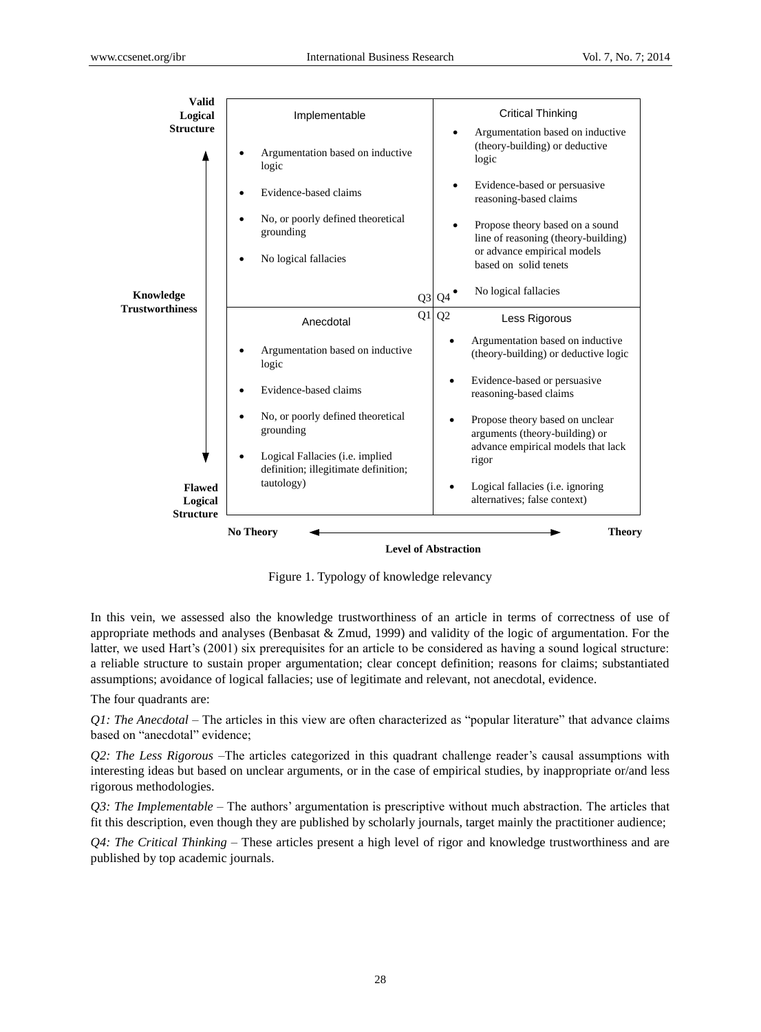| <b>Valid</b><br>Implementable<br>Logical                         |                                                                         | <b>Critical Thinking</b> |                                                                        |                                                                             |  |
|------------------------------------------------------------------|-------------------------------------------------------------------------|--------------------------|------------------------------------------------------------------------|-----------------------------------------------------------------------------|--|
| <b>Structure</b>                                                 | Argumentation based on inductive<br>logic                               |                          |                                                                        | Argumentation based on inductive<br>(theory-building) or deductive<br>logic |  |
|                                                                  | Evidence-based claims                                                   |                          |                                                                        | Evidence-based or persuasive<br>reasoning-based claims                      |  |
|                                                                  | No, or poorly defined theoretical<br>grounding                          |                          | Propose theory based on a sound<br>line of reasoning (theory-building) |                                                                             |  |
|                                                                  | No logical fallacies                                                    |                          |                                                                        | or advance empirical models<br>based on solid tenets                        |  |
| Knowledge<br><b>Trustworthiness</b>                              |                                                                         | Q3                       | Q <sub>4</sub>                                                         | No logical fallacies                                                        |  |
|                                                                  | Anecdotal                                                               | Q1                       | Q2                                                                     | Less Rigorous                                                               |  |
|                                                                  | Argumentation based on inductive<br>logic                               |                          |                                                                        | Argumentation based on inductive<br>(theory-building) or deductive logic    |  |
|                                                                  | Evidence-based claims                                                   |                          |                                                                        | Evidence-based or persuasive<br>reasoning-based claims                      |  |
|                                                                  | No, or poorly defined theoretical<br>grounding                          |                          |                                                                        | Propose theory based on unclear<br>arguments (theory-building) or           |  |
|                                                                  | Logical Fallacies (i.e. implied<br>definition; illegitimate definition; |                          |                                                                        | advance empirical models that lack<br>rigor                                 |  |
| <b>Flawed</b><br>Logical<br><b>Structure</b>                     | tautology)                                                              |                          |                                                                        | Logical fallacies ( <i>i.e.</i> ignoring<br>alternatives; false context)    |  |
| <b>No Theory</b><br><b>Theory</b><br><b>Level of Abstraction</b> |                                                                         |                          |                                                                        |                                                                             |  |

Figure 1. Typology of knowledge relevancy

In this vein, we assessed also the knowledge trustworthiness of an article in terms of correctness of use of appropriate methods and analyses (Benbasat & Zmud, 1999) and validity of the logic of argumentation. For the latter, we used Hart's (2001) six prerequisites for an article to be considered as having a sound logical structure: a reliable structure to sustain proper argumentation; clear concept definition; reasons for claims; substantiated assumptions; avoidance of logical fallacies; use of legitimate and relevant, not anecdotal, evidence.

The four quadrants are:

*Q1: The Anecdotal* – The articles in this view are often characterized as "popular literature" that advance claims based on "anecdotal" evidence;

*Q2: The Less Rigorous* –The articles categorized in this quadrant challenge reader's causal assumptions with interesting ideas but based on unclear arguments, or in the case of empirical studies, by inappropriate or/and less rigorous methodologies.

*Q3: The Implementable* – The authors' argumentation is prescriptive without much abstraction. The articles that fit this description, even though they are published by scholarly journals, target mainly the practitioner audience;

*Q4: The Critical Thinking* – These articles present a high level of rigor and knowledge trustworthiness and are published by top academic journals.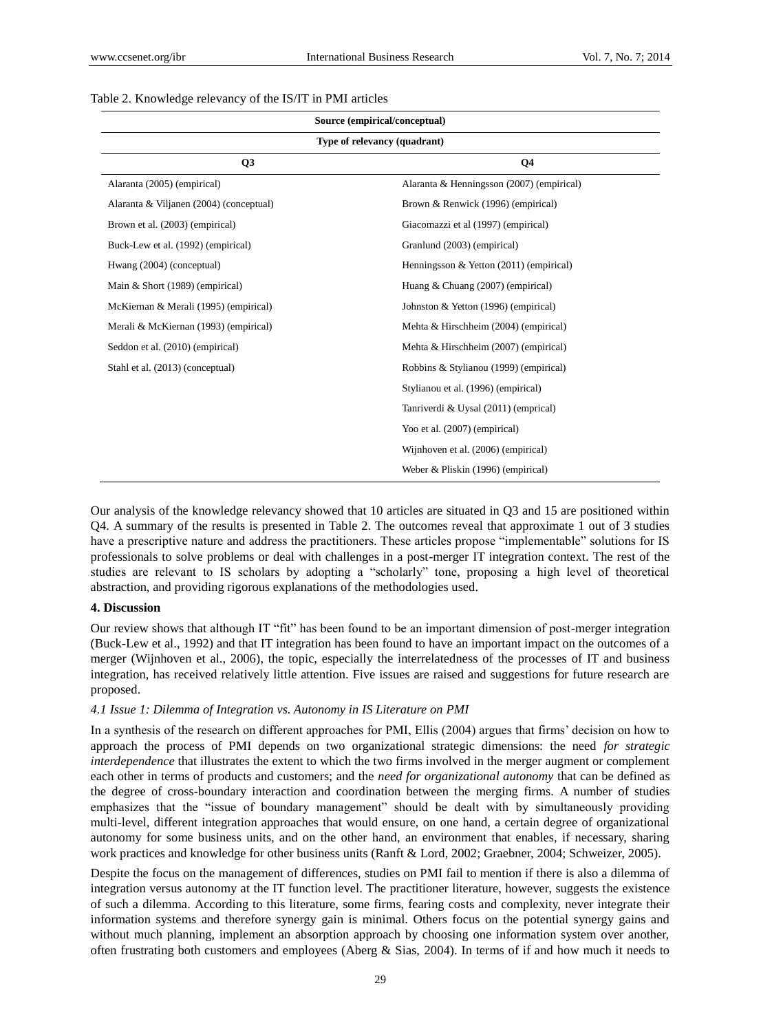| Source (empirical/conceptual)<br>Type of relevancy (quadrant) |                                           |  |  |  |
|---------------------------------------------------------------|-------------------------------------------|--|--|--|
|                                                               |                                           |  |  |  |
| Alaranta (2005) (empirical)                                   | Alaranta & Henningsson (2007) (empirical) |  |  |  |
| Alaranta & Viljanen (2004) (conceptual)                       | Brown & Renwick (1996) (empirical)        |  |  |  |
| Brown et al. (2003) (empirical)                               | Giacomazzi et al (1997) (empirical)       |  |  |  |
| Buck-Lew et al. (1992) (empirical)                            | Granlund (2003) (empirical)               |  |  |  |
| Hwang (2004) (conceptual)                                     | Henningsson & Yetton (2011) (empirical)   |  |  |  |
| Main & Short (1989) (empirical)                               | Huang & Chuang (2007) (empirical)         |  |  |  |
| McKiernan & Merali (1995) (empirical)                         | Johnston & Yetton (1996) (empirical)      |  |  |  |
| Merali & McKiernan (1993) (empirical)                         | Mehta & Hirschheim (2004) (empirical)     |  |  |  |
| Seddon et al. (2010) (empirical)                              | Mehta & Hirschheim (2007) (empirical)     |  |  |  |
| Stahl et al. (2013) (conceptual)                              | Robbins & Stylianou (1999) (empirical)    |  |  |  |
|                                                               | Stylianou et al. (1996) (empirical)       |  |  |  |
|                                                               | Tanriverdi & Uysal (2011) (emprical)      |  |  |  |
|                                                               | Yoo et al. (2007) (empirical)             |  |  |  |
|                                                               | Wijnhoven et al. (2006) (empirical)       |  |  |  |
|                                                               | Weber & Pliskin (1996) (empirical)        |  |  |  |

## Table 2. Knowledge relevancy of the IS/IT in PMI articles

Our analysis of the knowledge relevancy showed that 10 articles are situated in Q3 and 15 are positioned within Q4. A summary of the results is presented in Table 2. The outcomes reveal that approximate 1 out of 3 studies have a prescriptive nature and address the practitioners. These articles propose "implementable" solutions for IS professionals to solve problems or deal with challenges in a post-merger IT integration context. The rest of the studies are relevant to IS scholars by adopting a "scholarly" tone, proposing a high level of theoretical abstraction, and providing rigorous explanations of the methodologies used.

## **4. Discussion**

Our review shows that although IT "fit" has been found to be an important dimension of post-merger integration (Buck-Lew et al., 1992) and that IT integration has been found to have an important impact on the outcomes of a merger (Wijnhoven et al., 2006), the topic, especially the interrelatedness of the processes of IT and business integration, has received relatively little attention. Five issues are raised and suggestions for future research are proposed.

#### *4.1 Issue 1: Dilemma of Integration vs. Autonomy in IS Literature on PMI*

In a synthesis of the research on different approaches for PMI, Ellis (2004) argues that firms' decision on how to approach the process of PMI depends on two organizational strategic dimensions: the need *for strategic interdependence* that illustrates the extent to which the two firms involved in the merger augment or complement each other in terms of products and customers; and the *need for organizational autonomy* that can be defined as the degree of cross-boundary interaction and coordination between the merging firms. A number of studies emphasizes that the "issue of boundary management" should be dealt with by simultaneously providing multi-level, different integration approaches that would ensure, on one hand, a certain degree of organizational autonomy for some business units, and on the other hand, an environment that enables, if necessary, sharing work practices and knowledge for other business units (Ranft & Lord, 2002; Graebner, 2004; Schweizer, 2005).

Despite the focus on the management of differences, studies on PMI fail to mention if there is also a dilemma of integration versus autonomy at the IT function level. The practitioner literature, however, suggests the existence of such a dilemma. According to this literature, some firms, fearing costs and complexity, never integrate their information systems and therefore synergy gain is minimal. Others focus on the potential synergy gains and without much planning, implement an absorption approach by choosing one information system over another, often frustrating both customers and employees (Aberg & Sias, 2004). In terms of if and how much it needs to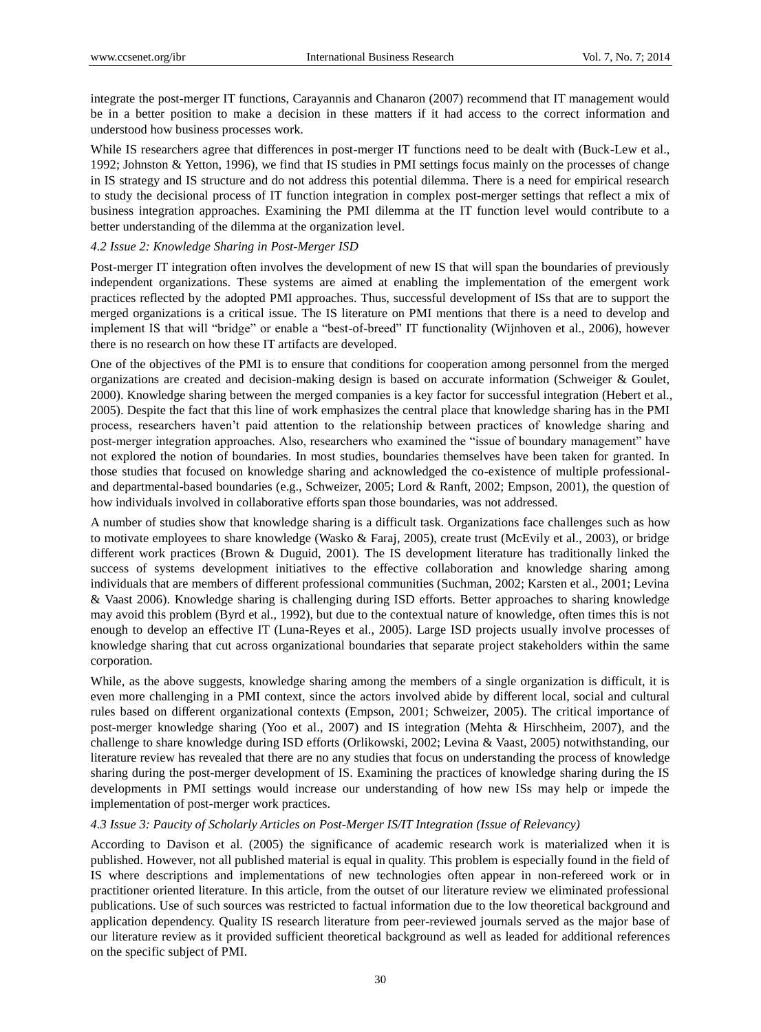integrate the post-merger IT functions, Carayannis and Chanaron (2007) recommend that IT management would be in a better position to make a decision in these matters if it had access to the correct information and understood how business processes work.

While IS researchers agree that differences in post-merger IT functions need to be dealt with (Buck-Lew et al., 1992; Johnston & Yetton, 1996), we find that IS studies in PMI settings focus mainly on the processes of change in IS strategy and IS structure and do not address this potential dilemma. There is a need for empirical research to study the decisional process of IT function integration in complex post-merger settings that reflect a mix of business integration approaches. Examining the PMI dilemma at the IT function level would contribute to a better understanding of the dilemma at the organization level.

## *4.2 Issue 2: Knowledge Sharing in Post-Merger ISD*

Post-merger IT integration often involves the development of new IS that will span the boundaries of previously independent organizations. These systems are aimed at enabling the implementation of the emergent work practices reflected by the adopted PMI approaches. Thus, successful development of ISs that are to support the merged organizations is a critical issue. The IS literature on PMI mentions that there is a need to develop and implement IS that will "bridge" or enable a "best-of-breed" IT functionality (Wijnhoven et al., 2006), however there is no research on how these IT artifacts are developed.

One of the objectives of the PMI is to ensure that conditions for cooperation among personnel from the merged organizations are created and decision-making design is based on accurate information (Schweiger & Goulet, 2000). Knowledge sharing between the merged companies is a key factor for successful integration (Hebert et al., 2005). Despite the fact that this line of work emphasizes the central place that knowledge sharing has in the PMI process, researchers haven't paid attention to the relationship between practices of knowledge sharing and post-merger integration approaches. Also, researchers who examined the "issue of boundary management" have not explored the notion of boundaries. In most studies, boundaries themselves have been taken for granted. In those studies that focused on knowledge sharing and acknowledged the co-existence of multiple professionaland departmental-based boundaries (e.g., Schweizer, 2005; Lord & Ranft, 2002; Empson, 2001), the question of how individuals involved in collaborative efforts span those boundaries, was not addressed.

A number of studies show that knowledge sharing is a difficult task. Organizations face challenges such as how to motivate employees to share knowledge (Wasko & Faraj, 2005), create trust (McEvily et al., 2003), or bridge different work practices (Brown & Duguid, 2001). The IS development literature has traditionally linked the success of systems development initiatives to the effective collaboration and knowledge sharing among individuals that are members of different professional communities (Suchman, 2002; Karsten et al., 2001; Levina & Vaast 2006). Knowledge sharing is challenging during ISD efforts. Better approaches to sharing knowledge may avoid this problem (Byrd et al., 1992), but due to the contextual nature of knowledge, often times this is not enough to develop an effective IT (Luna-Reyes et al., 2005). Large ISD projects usually involve processes of knowledge sharing that cut across organizational boundaries that separate project stakeholders within the same corporation.

While, as the above suggests, knowledge sharing among the members of a single organization is difficult, it is even more challenging in a PMI context, since the actors involved abide by different local, social and cultural rules based on different organizational contexts (Empson, 2001; Schweizer, 2005). The critical importance of post-merger knowledge sharing (Yoo et al., 2007) and IS integration (Mehta & Hirschheim, 2007), and the challenge to share knowledge during ISD efforts (Orlikowski, 2002; Levina & Vaast, 2005) notwithstanding, our literature review has revealed that there are no any studies that focus on understanding the process of knowledge sharing during the post-merger development of IS. Examining the practices of knowledge sharing during the IS developments in PMI settings would increase our understanding of how new ISs may help or impede the implementation of post-merger work practices.

### *4.3 Issue 3: Paucity of Scholarly Articles on Post-Merger IS/IT Integration (Issue of Relevancy)*

According to Davison et al. (2005) the significance of academic research work is materialized when it is published. However, not all published material is equal in quality. This problem is especially found in the field of IS where descriptions and implementations of new technologies often appear in non-refereed work or in practitioner oriented literature. In this article, from the outset of our literature review we eliminated professional publications. Use of such sources was restricted to factual information due to the low theoretical background and application dependency. Quality IS research literature from peer-reviewed journals served as the major base of our literature review as it provided sufficient theoretical background as well as leaded for additional references on the specific subject of PMI.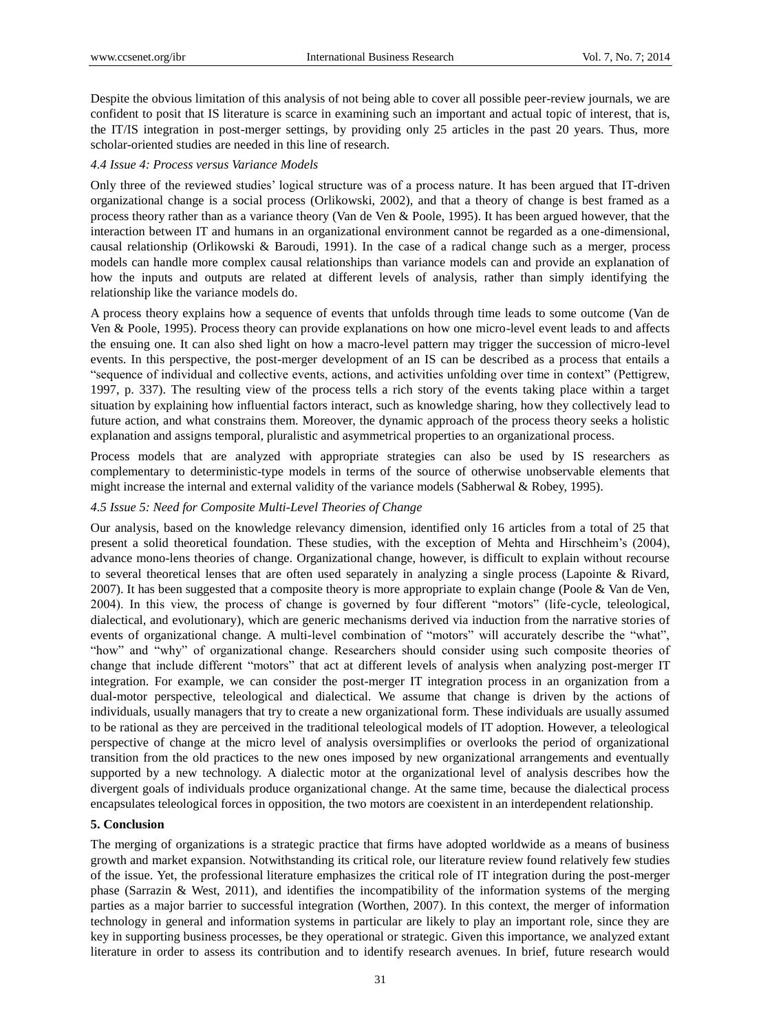Despite the obvious limitation of this analysis of not being able to cover all possible peer-review journals, we are confident to posit that IS literature is scarce in examining such an important and actual topic of interest, that is, the IT/IS integration in post-merger settings, by providing only 25 articles in the past 20 years. Thus, more scholar-oriented studies are needed in this line of research.

#### *4.4 Issue 4: Process versus Variance Models*

Only three of the reviewed studies' logical structure was of a process nature. It has been argued that IT-driven organizational change is a social process (Orlikowski, 2002), and that a theory of change is best framed as a process theory rather than as a variance theory (Van de Ven & Poole, 1995). It has been argued however, that the interaction between IT and humans in an organizational environment cannot be regarded as a one-dimensional, causal relationship (Orlikowski & Baroudi, 1991). In the case of a radical change such as a merger, process models can handle more complex causal relationships than variance models can and provide an explanation of how the inputs and outputs are related at different levels of analysis, rather than simply identifying the relationship like the variance models do.

A process theory explains how a sequence of events that unfolds through time leads to some outcome (Van de Ven & Poole, 1995). Process theory can provide explanations on how one micro-level event leads to and affects the ensuing one. It can also shed light on how a macro-level pattern may trigger the succession of micro-level events. In this perspective, the post-merger development of an IS can be described as a process that entails a "sequence of individual and collective events, actions, and activities unfolding over time in context" (Pettigrew, 1997, p. 337). The resulting view of the process tells a rich story of the events taking place within a target situation by explaining how influential factors interact, such as knowledge sharing, how they collectively lead to future action, and what constrains them. Moreover, the dynamic approach of the process theory seeks a holistic explanation and assigns temporal, pluralistic and asymmetrical properties to an organizational process.

Process models that are analyzed with appropriate strategies can also be used by IS researchers as complementary to deterministic-type models in terms of the source of otherwise unobservable elements that might increase the internal and external validity of the variance models (Sabherwal & Robey, 1995).

## *4.5 Issue 5: Need for Composite Multi-Level Theories of Change*

Our analysis, based on the knowledge relevancy dimension, identified only 16 articles from a total of 25 that present a solid theoretical foundation. These studies, with the exception of Mehta and Hirschheim's (2004), advance mono-lens theories of change. Organizational change, however, is difficult to explain without recourse to several theoretical lenses that are often used separately in analyzing a single process (Lapointe & Rivard, 2007). It has been suggested that a composite theory is more appropriate to explain change (Poole & Van de Ven, 2004). In this view, the process of change is governed by four different "motors" (life-cycle, teleological, dialectical, and evolutionary), which are generic mechanisms derived via induction from the narrative stories of events of organizational change. A multi-level combination of "motors" will accurately describe the "what", "how" and "why" of organizational change. Researchers should consider using such composite theories of change that include different "motors" that act at different levels of analysis when analyzing post-merger IT integration. For example, we can consider the post-merger IT integration process in an organization from a dual-motor perspective, teleological and dialectical. We assume that change is driven by the actions of individuals, usually managers that try to create a new organizational form. These individuals are usually assumed to be rational as they are perceived in the traditional teleological models of IT adoption. However, a teleological perspective of change at the micro level of analysis oversimplifies or overlooks the period of organizational transition from the old practices to the new ones imposed by new organizational arrangements and eventually supported by a new technology. A dialectic motor at the organizational level of analysis describes how the divergent goals of individuals produce organizational change. At the same time, because the dialectical process encapsulates teleological forces in opposition, the two motors are coexistent in an interdependent relationship.

#### **5. Conclusion**

The merging of organizations is a strategic practice that firms have adopted worldwide as a means of business growth and market expansion. Notwithstanding its critical role, our literature review found relatively few studies of the issue. Yet, the professional literature emphasizes the critical role of IT integration during the post-merger phase (Sarrazin & West, 2011), and identifies the incompatibility of the information systems of the merging parties as a major barrier to successful integration (Worthen, 2007). In this context, the merger of information technology in general and information systems in particular are likely to play an important role, since they are key in supporting business processes, be they operational or strategic. Given this importance, we analyzed extant literature in order to assess its contribution and to identify research avenues. In brief, future research would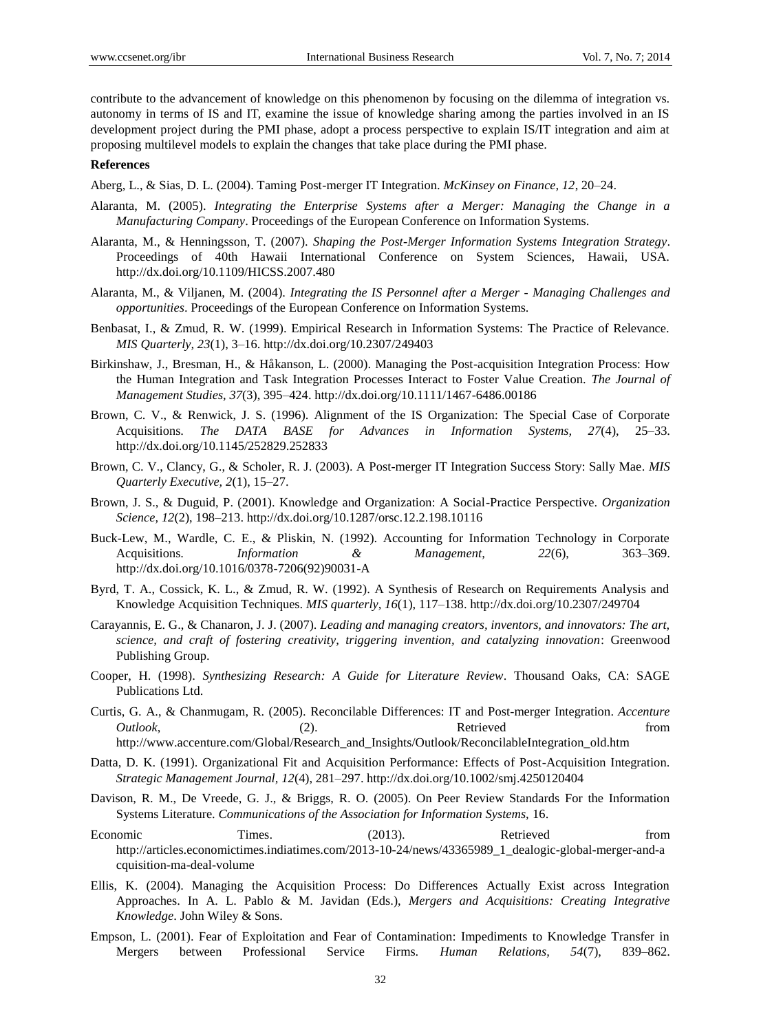contribute to the advancement of knowledge on this phenomenon by focusing on the dilemma of integration vs. autonomy in terms of IS and IT, examine the issue of knowledge sharing among the parties involved in an IS development project during the PMI phase, adopt a process perspective to explain IS/IT integration and aim at proposing multilevel models to explain the changes that take place during the PMI phase.

#### **References**

Aberg, L., & Sias, D. L. (2004). Taming Post-merger IT Integration. *McKinsey on Finance, 12*, 20–24.

- Alaranta, M. (2005). *Integrating the Enterprise Systems after a Merger: Managing the Change in a Manufacturing Company*. Proceedings of the European Conference on Information Systems.
- Alaranta, M., & Henningsson, T. (2007). *Shaping the Post-Merger Information Systems Integration Strategy*. Proceedings of 40th Hawaii International Conference on System Sciences, Hawaii, USA. http://dx.doi.org/10.1109/HICSS.2007.480
- Alaranta, M., & Viljanen, M. (2004). *Integrating the IS Personnel after a Merger - Managing Challenges and opportunities*. Proceedings of the European Conference on Information Systems.
- Benbasat, I., & Zmud, R. W. (1999). Empirical Research in Information Systems: The Practice of Relevance. *MIS Quarterly, 23*(1), 3–16. http://dx.doi.org/10.2307/249403
- Birkinshaw, J., Bresman, H., & Håkanson, L. (2000). Managing the Post-acquisition Integration Process: How the Human Integration and Task Integration Processes Interact to Foster Value Creation. *The Journal of Management Studies, 37*(3), 395–424. http://dx.doi.org/10.1111/1467-6486.00186
- Brown, C. V., & Renwick, J. S. (1996). Alignment of the IS Organization: The Special Case of Corporate Acquisitions. *The DATA BASE for Advances in Information Systems, 27*(4), 25–33. http://dx.doi.org/10.1145/252829.252833
- Brown, C. V., Clancy, G., & Scholer, R. J. (2003). A Post-merger IT Integration Success Story: Sally Mae. *MIS Quarterly Executive, 2*(1), 15–27.
- Brown, J. S., & Duguid, P. (2001). Knowledge and Organization: A Social-Practice Perspective. *Organization Science, 12*(2), 198–213. http://dx.doi.org/10.1287/orsc.12.2.198.10116
- Buck-Lew, M., Wardle, C. E., & Pliskin, N. (1992). Accounting for Information Technology in Corporate Acquisitions. *Information & Management, 22*(6), 363–369. http://dx.doi.org/10.1016/0378-7206(92)90031-A
- Byrd, T. A., Cossick, K. L., & Zmud, R. W. (1992). A Synthesis of Research on Requirements Analysis and Knowledge Acquisition Techniques. *MIS quarterly, 16*(1), 117–138. http://dx.doi.org/10.2307/249704
- Carayannis, E. G., & Chanaron, J. J. (2007). *Leading and managing creators, inventors, and innovators: The art, science, and craft of fostering creativity, triggering invention, and catalyzing innovation*: Greenwood Publishing Group.
- Cooper, H. (1998). *Synthesizing Research: A Guide for Literature Review*. Thousand Oaks, CA: SAGE Publications Ltd.
- Curtis, G. A., & Chanmugam, R. (2005). Reconcilable Differences: IT and Post-merger Integration. *Accenture Outlook*, (2). Retrieved from http://www.accenture.com/Global/Research\_and\_Insights/Outlook/ReconcilableIntegration\_old.htm
- Datta, D. K. (1991). Organizational Fit and Acquisition Performance: Effects of Post-Acquisition Integration. *Strategic Management Journal, 12*(4), 281–297. http://dx.doi.org/10.1002/smj.4250120404
- Davison, R. M., De Vreede, G. J., & Briggs, R. O. (2005). On Peer Review Standards For the Information Systems Literature. *Communications of the Association for Information Systems,* 16.
- Economic Times. (2013). Retrieved from http://articles.economictimes.indiatimes.com/2013-10-24/news/43365989\_1\_dealogic-global-merger-and-a cquisition-ma-deal-volume
- Ellis, K. (2004). Managing the Acquisition Process: Do Differences Actually Exist across Integration Approaches. In A. L. Pablo & M. Javidan (Eds.), *Mergers and Acquisitions: Creating Integrative Knowledge*. John Wiley & Sons.
- Empson, L. (2001). Fear of Exploitation and Fear of Contamination: Impediments to Knowledge Transfer in Mergers between Professional Service Firms. *Human Relations, 54*(7), 839–862.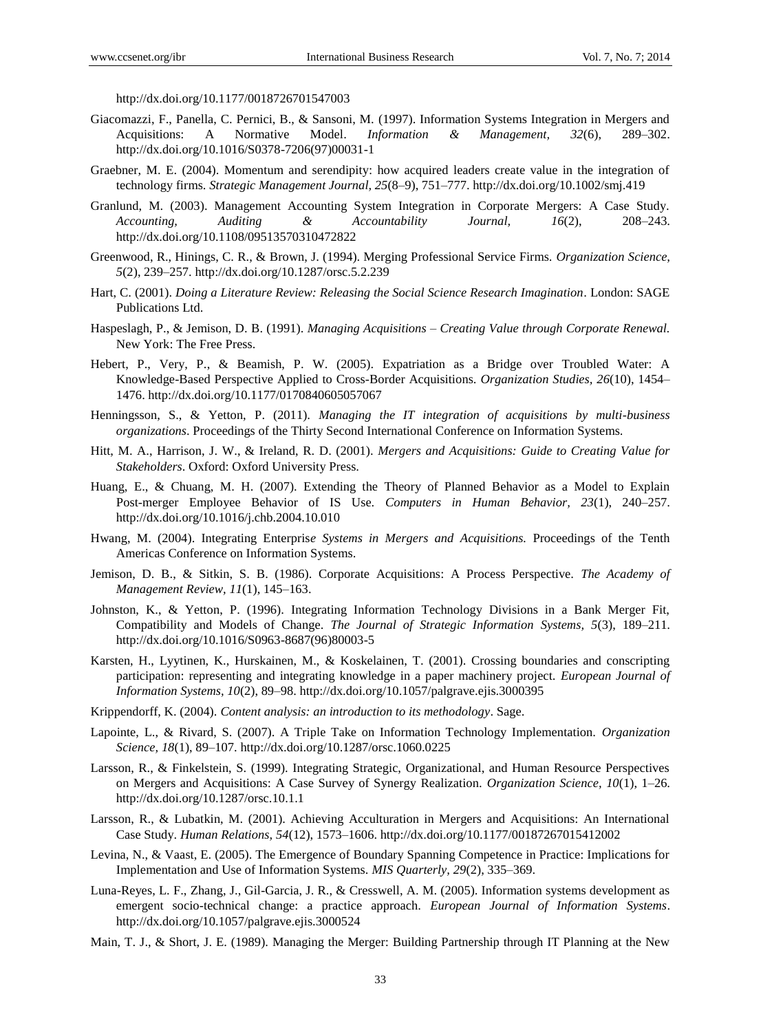http://dx.doi.org/10.1177/0018726701547003

- Giacomazzi, F., Panella, C. Pernici, B., & Sansoni, M. (1997). Information Systems Integration in Mergers and Acquisitions: A Normative Model. *Information & Management, 32*(6), 289–302. http://dx.doi.org/10.1016/S0378-7206(97)00031-1
- Graebner, M. E. (2004). Momentum and serendipity: how acquired leaders create value in the integration of technology firms. *Strategic Management Journal, 25*(8–9), 751–777. http://dx.doi.org/10.1002/smj.419
- Granlund, M. (2003). Management Accounting System Integration in Corporate Mergers: A Case Study. *Accounting, Auditing & Accountability Journal, 16*(2), 208–243. http://dx.doi.org/10.1108/09513570310472822
- Greenwood, R., Hinings, C. R., & Brown, J. (1994). Merging Professional Service Firms. *Organization Science, 5*(2), 239–257. http://dx.doi.org/10.1287/orsc.5.2.239
- Hart, C. (2001). *Doing a Literature Review: Releasing the Social Science Research Imagination*. London: SAGE Publications Ltd.
- Haspeslagh, P., & Jemison, D. B. (1991). *Managing Acquisitions – Creating Value through Corporate Renewal.* New York: The Free Press.
- Hebert, P., Very, P., & Beamish, P. W. (2005). Expatriation as a Bridge over Troubled Water: A Knowledge-Based Perspective Applied to Cross-Border Acquisitions. *Organization Studies, 26*(10), 1454– 1476. http://dx.doi.org/10.1177/0170840605057067
- Henningsson, S., & Yetton, P. (2011). *Managing the IT integration of acquisitions by multi-business organizations*. Proceedings of the Thirty Second International Conference on Information Systems.
- Hitt, M. A., Harrison, J. W., & Ireland, R. D. (2001). *Mergers and Acquisitions: Guide to Creating Value for Stakeholders*. Oxford: Oxford University Press.
- Huang, E., & Chuang, M. H. (2007). Extending the Theory of Planned Behavior as a Model to Explain Post-merger Employee Behavior of IS Use. *Computers in Human Behavior, 23*(1), 240–257. http://dx.doi.org/10.1016/j.chb.2004.10.010
- Hwang, M. (2004). Integrating Enterpris*e Systems in Mergers and Acquisitions.* Proceedings of the Tenth Americas Conference on Information Systems.
- Jemison, D. B., & Sitkin, S. B. (1986). Corporate Acquisitions: A Process Perspective. *The Academy of Management Review, 11*(1), 145–163.
- Johnston, K., & Yetton, P. (1996). Integrating Information Technology Divisions in a Bank Merger Fit, Compatibility and Models of Change. *The Journal of Strategic Information Systems, 5*(3), 189–211. http://dx.doi.org/10.1016/S0963-8687(96)80003-5
- Karsten, H., Lyytinen, K., Hurskainen, M., & Koskelainen, T. (2001). Crossing boundaries and conscripting participation: representing and integrating knowledge in a paper machinery project. *European Journal of Information Systems, 10*(2), 89–98. http://dx.doi.org/10.1057/palgrave.ejis.3000395
- Krippendorff, K. (2004). *Content analysis: an introduction to its methodology*. Sage.
- Lapointe, L., & Rivard, S. (2007). A Triple Take on Information Technology Implementation. *Organization Science, 18*(1), 89–107. http://dx.doi.org/10.1287/orsc.1060.0225
- Larsson, R., & Finkelstein, S. (1999). Integrating Strategic, Organizational, and Human Resource Perspectives on Mergers and Acquisitions: A Case Survey of Synergy Realization. *Organization Science, 10*(1), 1–26. http://dx.doi.org/10.1287/orsc.10.1.1
- Larsson, R., & Lubatkin, M. (2001). Achieving Acculturation in Mergers and Acquisitions: An International Case Study. *Human Relations, 54*(12), 1573–1606. http://dx.doi.org/10.1177/00187267015412002
- Levina, N., & Vaast, E. (2005). The Emergence of Boundary Spanning Competence in Practice: Implications for Implementation and Use of Information Systems. *MIS Quarterly, 29*(2), 335–369.
- Luna-Reyes, L. F., Zhang, J., Gil-Garcia, J. R., & Cresswell, A. M. (2005). Information systems development as emergent socio-technical change: a practice approach. *European Journal of Information Systems*. http://dx.doi.org/10.1057/palgrave.ejis.3000524
- Main, T. J., & Short, J. E. (1989). Managing the Merger: Building Partnership through IT Planning at the New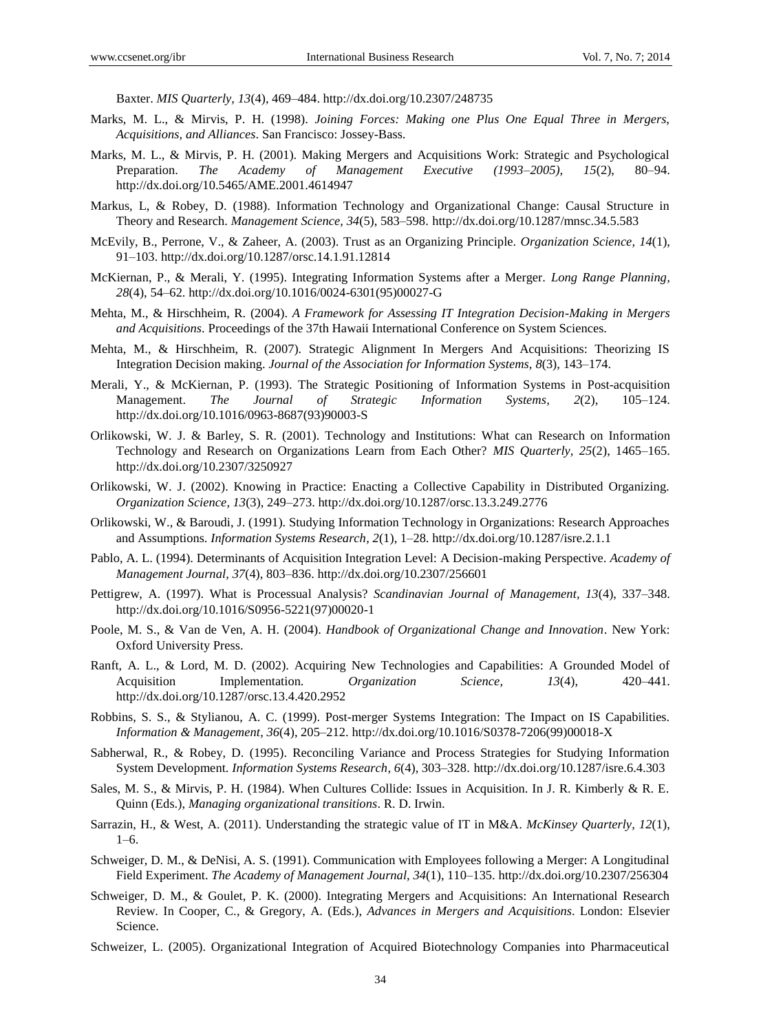Baxter. *MIS Quarterly, 13*(4), 469–484. http://dx.doi.org/10.2307/248735

- Marks, M. L., & Mirvis, P. H. (1998). *Joining Forces: Making one Plus One Equal Three in Mergers, Acquisitions, and Alliances*. San Francisco: Jossey-Bass.
- Marks, M. L., & Mirvis, P. H. (2001). Making Mergers and Acquisitions Work: Strategic and Psychological Preparation. *The Academy of Management Executive (1993–2005), 15*(2), 80–94. http://dx.doi.org/10.5465/AME.2001.4614947
- Markus, L, & Robey, D. (1988). Information Technology and Organizational Change: Causal Structure in Theory and Research. *Management Science, 34*(5), 583–598. http://dx.doi.org/10.1287/mnsc.34.5.583
- McEvily, B., Perrone, V., & Zaheer, A. (2003). Trust as an Organizing Principle. *Organization Science, 14*(1), 91–103. http://dx.doi.org/10.1287/orsc.14.1.91.12814
- McKiernan, P., & Merali, Y. (1995). Integrating Information Systems after a Merger. *Long Range Planning, 28*(4), 54–62. http://dx.doi.org/10.1016/0024-6301(95)00027-G
- Mehta, M., & Hirschheim, R. (2004). *A Framework for Assessing IT Integration Decision-Making in Mergers and Acquisitions*. Proceedings of the 37th Hawaii International Conference on System Sciences.
- Mehta, M., & Hirschheim, R. (2007). Strategic Alignment In Mergers And Acquisitions: Theorizing IS Integration Decision making. *Journal of the Association for Information Systems, 8*(3), 143–174.
- Merali, Y., & McKiernan, P. (1993). The Strategic Positioning of Information Systems in Post-acquisition Management. *The Journal of Strategic Information Systems, 2*(2), 105–124. http://dx.doi.org/10.1016/0963-8687(93)90003-S
- Orlikowski, W. J. & Barley, S. R. (2001). Technology and Institutions: What can Research on Information Technology and Research on Organizations Learn from Each Other? *MIS Quarterly, 25*(2), 1465–165. http://dx.doi.org/10.2307/3250927
- Orlikowski, W. J. (2002). Knowing in Practice: Enacting a Collective Capability in Distributed Organizing. *Organization Science, 13*(3), 249–273. http://dx.doi.org/10.1287/orsc.13.3.249.2776
- Orlikowski, W., & Baroudi, J. (1991). Studying Information Technology in Organizations: Research Approaches and Assumptions. *Information Systems Research, 2*(1), 1–28. http://dx.doi.org/10.1287/isre.2.1.1
- Pablo, A. L. (1994). Determinants of Acquisition Integration Level: A Decision-making Perspective. *Academy of Management Journal, 37*(4), 803–836. http://dx.doi.org/10.2307/256601
- Pettigrew, A. (1997). What is Processual Analysis? *Scandinavian Journal of Management, 13*(4), 337–348. http://dx.doi.org/10.1016/S0956-5221(97)00020-1
- Poole, M. S., & Van de Ven, A. H. (2004). *Handbook of Organizational Change and Innovation*. New York: Oxford University Press.
- Ranft, A. L., & Lord, M. D. (2002). Acquiring New Technologies and Capabilities: A Grounded Model of Acquisition Implementation. *Organization Science, 13*(4), 420–441. http://dx.doi.org/10.1287/orsc.13.4.420.2952
- Robbins, S. S., & Stylianou, A. C. (1999). Post-merger Systems Integration: The Impact on IS Capabilities. *Information & Management, 36*(4), 205–212. http://dx.doi.org/10.1016/S0378-7206(99)00018-X
- Sabherwal, R., & Robey, D. (1995). Reconciling Variance and Process Strategies for Studying Information System Development. *Information Systems Research, 6*(4), 303–328. http://dx.doi.org/10.1287/isre.6.4.303
- Sales, M. S., & Mirvis, P. H. (1984). When Cultures Collide: Issues in Acquisition. In J. R. Kimberly & R. E. Quinn (Eds.), *Managing organizational transitions*. R. D. Irwin.
- Sarrazin, H., & West, A. (2011). Understanding the strategic value of IT in M&A. *McKinsey Quarterly, 12*(1),  $1 - 6$
- Schweiger, D. M., & DeNisi, A. S. (1991). Communication with Employees following a Merger: A Longitudinal Field Experiment. *The Academy of Management Journal, 34*(1), 110–135. http://dx.doi.org/10.2307/256304
- Schweiger, D. M., & Goulet, P. K. (2000). Integrating Mergers and Acquisitions: An International Research Review. In Cooper, C., & Gregory, A. (Eds.), *Advances in Mergers and Acquisitions*. London: Elsevier Science.
- Schweizer, L. (2005). Organizational Integration of Acquired Biotechnology Companies into Pharmaceutical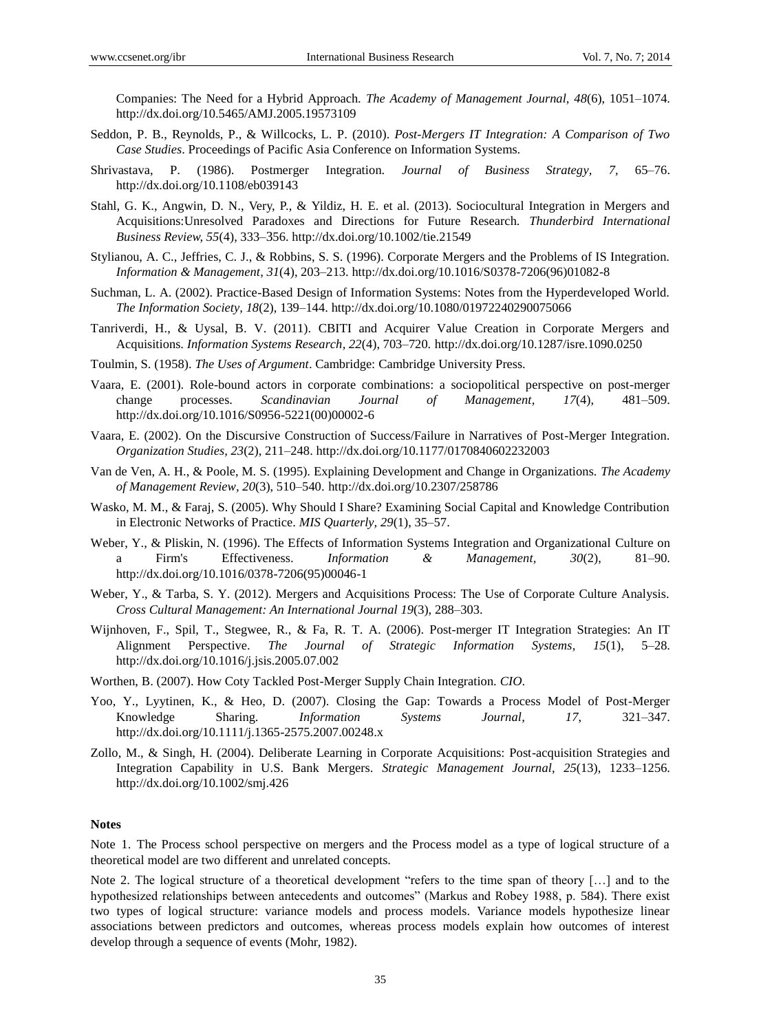Companies: The Need for a Hybrid Approach. *The Academy of Management Journal, 48*(6), 1051–1074. http://dx.doi.org/10.5465/AMJ.2005.19573109

- Seddon, P. B., Reynolds, P., & Willcocks, L. P. (2010). *Post-Mergers IT Integration: A Comparison of Two Case Studies*. Proceedings of Pacific Asia Conference on Information Systems.
- Shrivastava, P. (1986). Postmerger Integration. *Journal of Business Strategy, 7,* 65–76. http://dx.doi.org/10.1108/eb039143
- Stahl, G. K., Angwin, D. N., Very, P., & Yildiz, H. E. et al. (2013). Sociocultural Integration in Mergers and Acquisitions:Unresolved Paradoxes and Directions for Future Research. *Thunderbird International Business Review, 55*(4), 333–356. http://dx.doi.org/10.1002/tie.21549
- Stylianou, A. C., Jeffries, C. J., & Robbins, S. S. (1996). Corporate Mergers and the Problems of IS Integration. *Information & Management, 31*(4), 203–213. http://dx.doi.org/10.1016/S0378-7206(96)01082-8
- Suchman, L. A. (2002). Practice-Based Design of Information Systems: Notes from the Hyperdeveloped World. *The Information Society, 18*(2), 139–144. http://dx.doi.org/10.1080/01972240290075066
- Tanriverdi, H., & Uysal, B. V. (2011). CBITI and Acquirer Value Creation in Corporate Mergers and Acquisitions. *Information Systems Research, 22*(4), 703–720. http://dx.doi.org/10.1287/isre.1090.0250
- Toulmin, S. (1958). *The Uses of Argument*. Cambridge: Cambridge University Press.
- Vaara, E. (2001). Role-bound actors in corporate combinations: a sociopolitical perspective on post-merger change processes. *Scandinavian Journal of Management, 17*(4), 481–509. http://dx.doi.org/10.1016/S0956-5221(00)00002-6
- Vaara, E. (2002). On the Discursive Construction of Success/Failure in Narratives of Post-Merger Integration. *Organization Studies, 23*(2), 211–248. http://dx.doi.org/10.1177/0170840602232003
- Van de Ven, A. H., & Poole, M. S. (1995). Explaining Development and Change in Organizations. *The Academy of Management Review, 20*(3), 510–540. http://dx.doi.org/10.2307/258786
- Wasko, M. M., & Faraj, S. (2005). Why Should I Share? Examining Social Capital and Knowledge Contribution in Electronic Networks of Practice. *MIS Quarterly, 29*(1), 35–57.
- Weber, Y., & Pliskin, N. (1996). The Effects of Information Systems Integration and Organizational Culture on a Firm's Effectiveness. *Information & Management, 30*(2), 81–90. http://dx.doi.org/10.1016/0378-7206(95)00046-1
- Weber, Y., & Tarba, S. Y. (2012). Mergers and Acquisitions Process: The Use of Corporate Culture Analysis. *Cross Cultural Management: An International Journal 19*(3), 288–303.
- Wijnhoven, F., Spil, T., Stegwee, R., & Fa, R. T. A. (2006). Post-merger IT Integration Strategies: An IT Alignment Perspective. *The Journal of Strategic Information Systems, 15*(1), 5–28. http://dx.doi.org/10.1016/j.jsis.2005.07.002
- Worthen, B. (2007). How Coty Tackled Post-Merger Supply Chain Integration. *CIO*.
- Yoo, Y., Lyytinen, K., & Heo, D. (2007). Closing the Gap: Towards a Process Model of Post-Merger Knowledge Sharing. *Information Systems Journal, 17*, 321–347. http://dx.doi.org/10.1111/j.1365-2575.2007.00248.x
- Zollo, M., & Singh, H. (2004). Deliberate Learning in Corporate Acquisitions: Post-acquisition Strategies and Integration Capability in U.S. Bank Mergers. *Strategic Management Journal, 25*(13), 1233–1256. http://dx.doi.org/10.1002/smj.426

#### **Notes**

Note 1. The Process school perspective on mergers and the Process model as a type of logical structure of a theoretical model are two different and unrelated concepts.

Note 2. The logical structure of a theoretical development "refers to the time span of theory […] and to the hypothesized relationships between antecedents and outcomes" (Markus and Robey 1988, p. 584). There exist two types of logical structure: variance models and process models. Variance models hypothesize linear associations between predictors and outcomes, whereas process models explain how outcomes of interest develop through a sequence of events (Mohr, 1982).